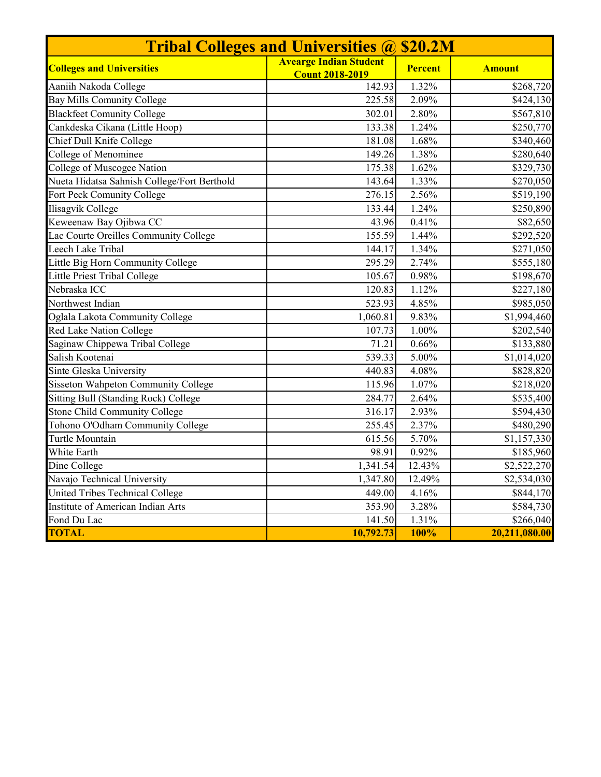| <b>Tribal Colleges and Universities @ \$20.2M</b> |                                                         |                |                       |  |  |  |  |
|---------------------------------------------------|---------------------------------------------------------|----------------|-----------------------|--|--|--|--|
| <b>Colleges and Universities</b>                  | <b>Avearge Indian Student</b><br><b>Count 2018-2019</b> | <b>Percent</b> | <b>Amount</b>         |  |  |  |  |
| Aaniih Nakoda College                             | 142.93                                                  | 1.32%          | \$268,720             |  |  |  |  |
| <b>Bay Mills Comunity College</b>                 | 225.58                                                  | 2.09%          | \$424,130             |  |  |  |  |
| <b>Blackfeet Comunity College</b>                 | 302.01                                                  | 2.80%          | \$567,810             |  |  |  |  |
| Cankdeska Cikana (Little Hoop)                    | 133.38                                                  | 1.24%          | \$250,770             |  |  |  |  |
| Chief Dull Knife College                          | 181.08                                                  | 1.68%          | \$340,460             |  |  |  |  |
| College of Menominee                              | 149.26                                                  | 1.38%          | $\overline{$}280,640$ |  |  |  |  |
| College of Muscogee Nation                        | 175.38                                                  | 1.62%          | \$329,730             |  |  |  |  |
| Nueta Hidatsa Sahnish College/Fort Berthold       | 143.64                                                  | 1.33%          | \$270,050             |  |  |  |  |
| Fort Peck Comunity College                        | 276.15                                                  | 2.56%          | \$519,190             |  |  |  |  |
| <b>Ilisagvik College</b>                          | 133.44                                                  | 1.24%          | \$250,890             |  |  |  |  |
| Keweenaw Bay Ojibwa CC                            | 43.96                                                   | 0.41%          | \$82,650              |  |  |  |  |
| Lac Courte Oreilles Community College             | 155.59                                                  | 1.44%          | \$292,520             |  |  |  |  |
| Leech Lake Tribal                                 | 144.17                                                  | 1.34%          | \$271,050             |  |  |  |  |
| Little Big Horn Community College                 | 295.29                                                  | 2.74%          | \$555,180             |  |  |  |  |
| Little Priest Tribal College                      | 105.67                                                  | 0.98%          | \$198,670             |  |  |  |  |
| Nebraska ICC                                      | 120.83                                                  | 1.12%          | \$227,180             |  |  |  |  |
| Northwest Indian                                  | 523.93                                                  | 4.85%          | \$985,050             |  |  |  |  |
| Oglala Lakota Community College                   | 1,060.81                                                | 9.83%          | \$1,994,460           |  |  |  |  |
| Red Lake Nation College                           | 107.73                                                  | 1.00%          | \$202,540             |  |  |  |  |
| Saginaw Chippewa Tribal College                   | 71.21                                                   | 0.66%          | \$133,880             |  |  |  |  |
| Salish Kootenai                                   | 539.33                                                  | 5.00%          | \$1,014,020           |  |  |  |  |
| Sinte Gleska University                           | 440.83                                                  | 4.08%          | \$828,820             |  |  |  |  |
| <b>Sisseton Wahpeton Community College</b>        | 115.96                                                  | 1.07%          | \$218,020             |  |  |  |  |
| Sitting Bull (Standing Rock) College              | 284.77                                                  | 2.64%          | \$535,400             |  |  |  |  |
| Stone Child Community College                     | 316.17                                                  | 2.93%          | \$594,430             |  |  |  |  |
| Tohono O'Odham Community College                  | 255.45                                                  | 2.37%          | \$480,290             |  |  |  |  |
| Turtle Mountain                                   | 615.56                                                  | 5.70%          | \$1,157,330           |  |  |  |  |
| White Earth                                       | 98.91                                                   | 0.92%          | \$185,960             |  |  |  |  |
| Dine College                                      | 1,341.54                                                | 12.43%         | \$2,522,270           |  |  |  |  |
| Navajo Technical University                       | 1,347.80                                                | 12.49%         | \$2,534,030           |  |  |  |  |
| United Tribes Technical College                   | 449.00                                                  | 4.16%          | \$844,170             |  |  |  |  |
| Institute of American Indian Arts                 | 353.90                                                  | 3.28%          | \$584,730             |  |  |  |  |
| Fond Du Lac                                       | 141.50                                                  | 1.31%          | \$266,040             |  |  |  |  |
| <b>TOTAL</b>                                      | 10,792.73                                               | 100%           | 20,211,080.00         |  |  |  |  |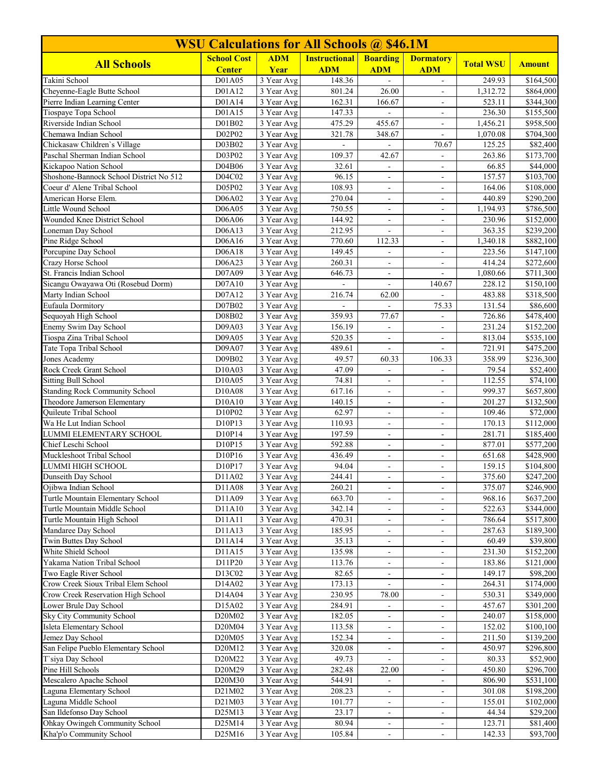| <b>WSU Calculations for All Schools @ \$46.1M</b>  |                    |                          |                          |                                                      |                                  |                    |                        |  |
|----------------------------------------------------|--------------------|--------------------------|--------------------------|------------------------------------------------------|----------------------------------|--------------------|------------------------|--|
| <b>All Schools</b>                                 | <b>School Cost</b> | <b>ADM</b>               | <b>Instructional</b>     | <b>Boarding</b>                                      | <b>Dormatory</b>                 | <b>Total WSU</b>   | <b>Amount</b>          |  |
|                                                    | <b>Center</b>      | Year                     | <b>ADM</b>               | <b>ADM</b>                                           | <b>ADM</b>                       |                    |                        |  |
| Takini School<br>Cheyenne-Eagle Butte School       | D01A05<br>D01A12   | 3 Year Avg<br>3 Year Avg | 148.36<br>801.24         | 26.00                                                | $\mathbf{r}$                     | 249.93<br>1,312.72 | \$164,500<br>\$864,000 |  |
| Pierre Indian Learning Center                      | D01A14             | 3 Year Avg               | 162.31                   | 166.67                                               | $\overline{a}$                   | 523.11             | \$344,300              |  |
| Tiospaye Topa School                               | D01A15             | 3 Year Avg               | 147.33                   | $\bar{a}$                                            | $\blacksquare$                   | 236.30             | \$155,500              |  |
| Riverside Indian School                            | D01B02             | 3 Year Avg               | 475.29                   | 455.67                                               | $\qquad \qquad \blacksquare$     | 1,456.21           | \$958,500              |  |
| Chemawa Indian School                              | D02P02             | 3 Year Avg               | 321.78                   | 348.67                                               | $\overline{a}$                   | 1,070.08           | \$704,300              |  |
| Chickasaw Children's Village                       | D03B02             | 3 Year Avg               |                          |                                                      | 70.67                            | 125.25             | \$82,400               |  |
| Paschal Sherman Indian School                      | D03P02             | 3 Year Avg               | 109.37                   | 42.67                                                |                                  | 263.86             | \$173,700              |  |
| Kickapoo Nation School                             | D04B06             | 3 Year Avg               | 32.61                    | $\equiv$                                             | $\blacksquare$                   | 66.85              | \$44,000               |  |
| Shoshone-Bannock School District No 512            | D04C02             | $\overline{3}$ Year Avg  | 96.15                    | $\blacksquare$                                       | $\overline{\phantom{a}}$         | 157.57             | \$103,700              |  |
| Coeur d' Alene Tribal School                       | D05P02             | $\overline{3}$ Year Avg  | 108.93                   | $\blacksquare$                                       | $\overline{a}$                   | 164.06             | \$108,000              |  |
| American Horse Elem.                               | D06A02             | 3 Year Avg               | 270.04                   | $\blacksquare$                                       | $\overline{\phantom{a}}$         | 440.89             | \$290,200              |  |
| Little Wound School                                | D06A05             | 3 Year Avg               | 750.55                   | $\overline{\phantom{a}}$<br>$\mathcal{L}$            | $\blacksquare$                   | 1,194.93           | \$786,500              |  |
| Wounded Knee District School<br>Loneman Day School | D06A06<br>D06A13   | 3 Year Avg<br>3 Year Avg | 144.92<br>212.95         | $\blacksquare$                                       | ÷,                               | 230.96<br>363.35   | \$152,000<br>\$239,200 |  |
| Pine Ridge School                                  | D06A16             | 3 Year Avg               | 770.60                   | 112.33                                               | $\blacksquare$                   | 1,340.18           | \$882,100              |  |
| Porcupine Day School                               | D06A18             | 3 Year Avg               | 149.45                   | $\blacksquare$                                       | ۰<br>$\overline{a}$              | 223.56             | \$147,100              |  |
| Crazy Horse School                                 | D06A23             | 3 Year Avg               | 260.31                   | $\overline{\phantom{a}}$                             | $\overline{\phantom{a}}$         | 414.24             | \$272,600              |  |
| St. Francis Indian School                          | D07A09             | 3 Year Avg               | 646.73                   |                                                      |                                  | 1,080.66           | \$711,300              |  |
| Sicangu Owayawa Oti (Rosebud Dorm)                 | D07A10             | 3 Year Avg               | $\overline{\phantom{a}}$ | $\mathbf{r}$                                         | 140.67                           | 228.12             | \$150,100              |  |
| Marty Indian School                                | D07A12             | 3 Year Avg               | 216.74                   | 62.00                                                |                                  | 483.88             | \$318,500              |  |
| Eufaula Dormitory                                  | D07B02             | $\overline{3}$ Year Avg  |                          |                                                      | 75.33                            | 131.54             | \$86,600               |  |
| Sequoyah High School                               | D08B02             | 3 Year Avg               | 359.93                   | 77.67                                                | $\blacksquare$                   | 726.86             | \$478,400              |  |
| Enemy Swim Day School                              | D09A03             | 3 Year Avg               | 156.19                   | $\overline{\phantom{a}}$                             |                                  | 231.24             | \$152,200              |  |
| Tiospa Zina Tribal School                          | D09A05             | 3 Year Avg               | 520.35                   | L.                                                   | $\overline{a}$                   | 813.04             | \$535,100              |  |
| Tate Topa Tribal School                            | D09A07             | 3 Year Avg               | 489.61                   | $\blacksquare$                                       | $\blacksquare$                   | 721.91             | \$475,200              |  |
| Jones Academy                                      | D09B02             | 3 Year Avg               | 49.57                    | 60.33                                                | 106.33                           | 358.99             | \$236,300              |  |
| Rock Creek Grant School                            | D10A03             | 3 Year Avg               | 47.09                    | $\mathbf{r}$                                         | $\blacksquare$                   | 79.54              | \$52,400               |  |
| <b>Sitting Bull School</b>                         | D10A05             | 3 Year Avg               | 74.81                    | $\overline{\phantom{a}}$                             | $\overline{\phantom{a}}$         | 112.55             | \$74,100               |  |
| <b>Standing Rock Community School</b>              | D10A08             | 3 Year Avg               | 617.16                   | $\overline{\phantom{a}}$                             |                                  | 999.37             | \$657,800              |  |
| Theodore Jamerson Elementary                       | D10A10             | 3 Year Avg               | 140.15                   | $\blacksquare$                                       | $\blacksquare$                   | 201.27             | \$132,500              |  |
| Quileute Tribal School                             | D10P02             | 3 Year Avg               | 62.97                    | $\blacksquare$                                       | $\blacksquare$                   | 109.46             | \$72,000               |  |
| Wa He Lut Indian School<br>LUMMI ELEMENTARY SCHOOL | D10P13<br>D10P14   | 3 Year Avg<br>3 Year Avg | 110.93<br>197.59         | $\overline{\phantom{a}}$                             | $\overline{\phantom{a}}$         | 170.13<br>281.71   | \$112,000<br>\$185,400 |  |
| Chief Leschi School                                | D10P15             | 3 Year Avg               | 592.88                   | $\overline{\phantom{a}}$<br>$\overline{\phantom{a}}$ | $\blacksquare$<br>$\blacksquare$ | 877.01             | \$577,200              |  |
| Muckleshoot Tribal School                          | D10P16             | 3 Year Avg               | 436.49                   | $\mathbf{r}$                                         | $\overline{a}$                   | 651.68             | \$428,900              |  |
| LUMMI HIGH SCHOOL                                  | D10P17             | 3 Year Avg               | 94.04                    | $\overline{\phantom{a}}$                             | $\overline{\phantom{a}}$         | 159.15             | \$104,800              |  |
| Dunseith Day School                                | D11A02             | 3 Year Avg               | 244.41                   | $\blacksquare$                                       | $\blacksquare$                   | 375.60             | \$247,200              |  |
| Ojibwa Indian School                               | D11A08             | 3 Year Avg               | 260.21                   | $\blacksquare$                                       | ÷,                               | 375.07             | \$246,900              |  |
| Turtle Mountain Elementary School                  | D11A09             | 3 Year Avg               | 663.70                   | $\overline{\phantom{a}}$                             | ۰                                | 968.16             | \$637,200              |  |
| Turtle Mountain Middle School                      | D11A10             | 3 Year Avg               | 342.14                   | $\blacksquare$                                       | $\overline{\phantom{a}}$         | 522.63             | \$344,000              |  |
| Turtle Mountain High School                        | D11A11             | 3 Year Avg               | 470.31                   | $\blacksquare$                                       | $\overline{\phantom{a}}$         | 786.64             | \$517,800              |  |
| Mandaree Day School                                | D11A13             | 3 Year Avg               | 185.95                   | $\blacksquare$                                       | $\blacksquare$                   | 287.63             | \$189,300              |  |
| Twin Buttes Day School                             | D11A14             | 3 Year Avg               | 35.13                    | $\blacksquare$                                       | ۰                                | 60.49              | \$39,800               |  |
| White Shield School                                | D11A15             | 3 Year Avg               | 135.98                   | $\overline{\phantom{a}}$                             | ۳                                | 231.30             | \$152,200              |  |
| Yakama Nation Tribal School                        | D11P20             | 3 Year Avg               | 113.76                   | $\overline{\phantom{a}}$                             | ۰                                | 183.86             | \$121,000              |  |
| Two Eagle River School                             | D13C02             | 3 Year Avg               | 82.65                    | ÷                                                    |                                  | 149.17             | \$98,200               |  |
| Crow Creek Sioux Tribal Elem School                | D14A02             | 3 Year Avg               | 173.13                   | $\blacksquare$                                       | $\blacksquare$                   | 264.31             | \$174,000              |  |
| Crow Creek Reservation High School                 | D14A04             | 3 Year Avg               | 230.95                   | 78.00                                                | $\blacksquare$                   | 530.31             | \$349,000              |  |
| Lower Brule Day School                             | D15A02             | 3 Year Avg               | 284.91                   | $\overline{\phantom{a}}$                             | ۰                                | 457.67             | \$301,200              |  |
| Sky City Community School                          | D20M02             | 3 Year Avg               | 182.05                   | $\overline{\phantom{a}}$                             | ۰                                | 240.07             | \$158,000              |  |
| Isleta Elementary School<br>Jemez Day School       | D20M04<br>D20M05   | 3 Year Avg<br>3 Year Avg | 113.58<br>152.34         | $\blacksquare$<br>$\blacksquare$                     | $\blacksquare$<br>÷.             | 152.02<br>211.50   | \$100,100<br>\$139,200 |  |
| San Felipe Pueblo Elementary School                | D20M12             | 3 Year Avg               | 320.08                   | $\overline{\phantom{a}}$                             | $\blacksquare$                   | 450.97             | \$296,800              |  |
| T'siya Day School                                  | D20M22             | 3 Year Avg               | 49.73                    | $\overline{\phantom{a}}$                             | $\blacksquare$                   | 80.33              | \$52,900               |  |
| Pine Hill Schools                                  | D20M29             | 3 Year Avg               | 282.48                   | 22.00                                                | ۰                                | 450.80             | \$296,700              |  |
| Mescalero Apache School                            | D20M30             | 3 Year Avg               | 544.91                   | $\overline{\phantom{a}}$                             | $\blacksquare$                   | 806.90             | \$531,100              |  |
| Laguna Elementary School                           | D21M02             | 3 Year Avg               | 208.23                   |                                                      |                                  | 301.08             | \$198,200              |  |
| Laguna Middle School                               | D21M03             | 3 Year Avg               | 101.77                   | $\overline{\phantom{a}}$                             | $\blacksquare$                   | 155.01             | \$102,000              |  |
| San Ildefonso Day School                           | D25M13             | 3 Year Avg               | 23.17                    | $\blacksquare$                                       | $\blacksquare$                   | 44.34              | \$29,200               |  |
| Ohkay Owingeh Community School                     | D25M14             | 3 Year Avg               | 80.94                    | $\blacksquare$                                       | ۰                                | 123.71             | \$81,400               |  |
| Kha'p'o Community School                           | D25M16             | 3 Year Avg               | 105.84                   | $\overline{\phantom{a}}$                             | $\qquad \qquad \blacksquare$     | 142.33             | \$93,700               |  |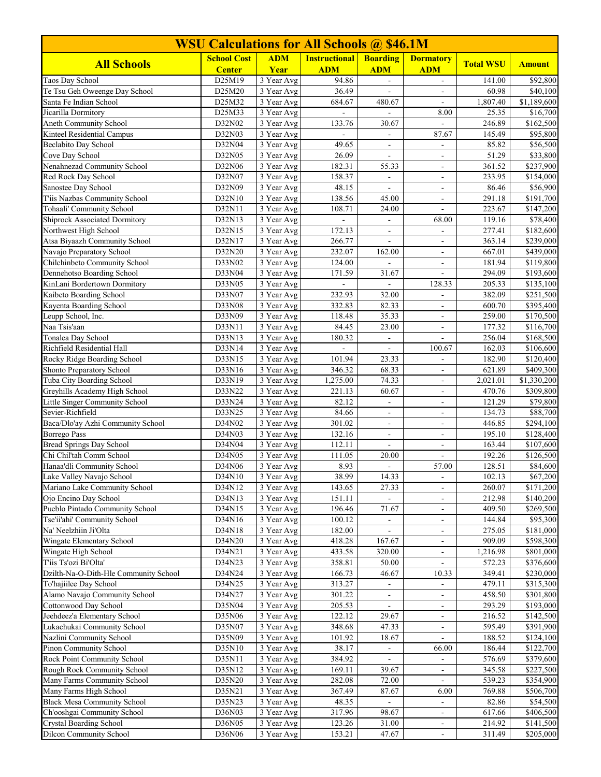| <b>WSU Calculations for All Schools @ \$46.1M</b>           |                    |                          |                      |                          |                                            |                  |                         |  |
|-------------------------------------------------------------|--------------------|--------------------------|----------------------|--------------------------|--------------------------------------------|------------------|-------------------------|--|
| <b>All Schools</b>                                          | <b>School Cost</b> | <b>ADM</b>               | <b>Instructional</b> | <b>Boarding</b>          | <b>Dormatory</b>                           | <b>Total WSU</b> | <b>Amount</b>           |  |
|                                                             | <b>Center</b>      | Year                     | <b>ADM</b>           | <b>ADM</b>               | <b>ADM</b>                                 |                  |                         |  |
| Taos Day School<br>Te Tsu Geh Oweenge Day School            | D25M19<br>D25M20   | 3 Year Avg<br>3 Year Avg | 94.86<br>36.49       | $\mathbf{r}$             | $\blacksquare$                             | 141.00<br>60.98  | \$92,800                |  |
| Santa Fe Indian School                                      | D25M32             | 3 Year Avg               | 684.67               | 480.67                   | L.                                         | 1,807.40         | \$40,100<br>\$1,189,600 |  |
| Jicarilla Dormitory                                         | D25M33             | 3 Year Avg               | $\equiv$             | $\overline{\phantom{a}}$ | 8.00                                       | 25.35            | \$16,700                |  |
| Aneth Community School                                      | D32N02             | 3 Year Avg               | 133.76               | 30.67                    |                                            | 246.89           | \$162,500               |  |
| Kinteel Residential Campus                                  | D32N03             | 3 Year Avg               | $\sim$               | $\blacksquare$           | 87.67                                      | 145.49           | \$95,800                |  |
| <b>Beclabito Day School</b>                                 | D32N04             | 3 Year Avg               | 49.65                | $\overline{\phantom{a}}$ | $\blacksquare$                             | 85.82            | \$56,500                |  |
| Cove Day School                                             | D32N05             | 3 Year Avg               | 26.09                |                          | ÷.                                         | 51.29            | \$33,800                |  |
| Nenahnezad Community School                                 | D32N06             | 3 Year Avg               | 182.31               | 55.33                    | $\overline{\phantom{a}}$                   | 361.52           | \$237,900               |  |
| Red Rock Day School                                         | D32N07             | 3 Year Avg               | 158.37               | $\blacksquare$           | $\blacksquare$                             | 233.95           | \$154,000               |  |
| Sanostee Day School                                         | D32N09             | $\overline{3}$ Year Avg  | 48.15                | ÷,                       | $\overline{\phantom{a}}$                   | 86.46            | \$56,900                |  |
| T'iis Nazbas Community School                               | D32N10             | 3 Year Avg               | 138.56               | 45.00                    | $\blacksquare$                             | 291.18           | \$191,700               |  |
| Tohaali' Community School                                   | D32N11             | 3 Year Avg               | 108.71               | 24.00                    |                                            | 223.67           | \$147,200               |  |
| <b>Shiprock Associated Dormitory</b>                        | D32N13             | 3 Year Avg               | $\omega$             | $\overline{\phantom{a}}$ | 68.00                                      | 119.16           | \$78,400                |  |
| Northwest High School                                       | D32N15             | 3 Year Avg               | 172.13               | $\blacksquare$           | ä,                                         | 277.41           | \$182,600               |  |
| Atsa Biyaazh Community School<br>Navajo Preparatory School  | D32N17             | 3 Year Avg               | 266.77<br>232.07     | $\blacksquare$           | $\overline{\phantom{0}}$                   | 363.14<br>667.01 | \$239,000               |  |
| Chilchinbeto Community School                               | D32N20<br>D33N02   | 3 Year Avg<br>3 Year Avg | 124.00               | 162.00                   | $\blacksquare$                             | 181.94           | \$439,000<br>\$119,800  |  |
| Dennehotso Boarding School                                  | D33N04             | 3 Year Avg               | 171.59               | 31.67                    |                                            | 294.09           | \$193,600               |  |
| KinLani Bordertown Dormitory                                | D33N05             | 3 Year Avg               | $\mathcal{L}$        | ÷,                       | 128.33                                     | 205.33           | \$135,100               |  |
| Kaibeto Boarding School                                     | D33N07             | 3 Year Avg               | 232.93               | 32.00                    | $\blacksquare$                             | 382.09           | \$251,500               |  |
| Kayenta Boarding School                                     | D33N08             | $\overline{3}$ Year Avg  | 332.83               | 82.33                    | ÷,                                         | 600.70           | \$395,400               |  |
| Leupp School, Inc.                                          | D33N09             | 3 Year Avg               | 118.48               | 35.33                    | $\overline{\phantom{a}}$                   | 259.00           | \$170,500               |  |
| Naa Tsis'aan                                                | D33N11             | 3 Year Avg               | 84.45                | 23.00                    | $\overline{\phantom{a}}$                   | 177.32           | \$116,700               |  |
| Tonalea Day School                                          | D33N13             | 3 Year Avg               | 180.32               | $\overline{a}$           | $\overline{a}$                             | 256.04           | \$168,500               |  |
| Richfield Residential Hall                                  | D33N14             | 3 Year Avg               | ÷.                   | $\mathbf{r}$             | 100.67                                     | 162.03           | \$106,600               |  |
| Rocky Ridge Boarding School                                 | D33N15             | 3 Year Avg               | 101.94               | 23.33                    | $\overline{\phantom{m}}$                   | 182.90           | \$120,400               |  |
| Shonto Preparatory School                                   | D33N16             | 3 Year Avg               | 346.32               | 68.33                    | L.                                         | 621.89           | \$409,300               |  |
| Tuba City Boarding School                                   | D33N19             | 3 Year Avg               | 1,275.00             | 74.33                    | $\overline{\phantom{a}}$                   | 2,021.01         | \$1,330,200             |  |
| Greyhills Academy High School                               | D33N22             | 3 Year Avg               | 221.13               | 60.67                    |                                            | 470.76           | \$309,800               |  |
| Little Singer Community School                              | D33N24             | 3 Year Avg               | 82.12                | $\overline{a}$           | $\blacksquare$                             | 121.29           | \$79,800                |  |
| Sevier-Richfield                                            | D33N25             | 3 Year Avg               | 84.66                | $\blacksquare$           | $\overline{\phantom{a}}$                   | 134.73           | \$88,700                |  |
| Baca/Dlo'ay Azhi Community School                           | D34N02             | 3 Year Avg               | 301.02               | $\overline{\phantom{a}}$ | $\qquad \qquad \blacksquare$               | 446.85           | \$294,100               |  |
| <b>Borrego Pass</b><br><b>Bread Springs Day School</b>      | D34N03<br>D34N04   | 3 Year Avg<br>3 Year Avg | 132.16<br>112.11     | $\blacksquare$           | ÷,<br>$\overline{\phantom{a}}$             | 195.10<br>163.44 | \$128,400<br>\$107,600  |  |
| Chi Chil'tah Comm School                                    | D34N05             | 3 Year Avg               | 111.05               | 20.00                    |                                            | 192.26           | \$126,500               |  |
| Hanaa'dli Community School                                  | D34N06             | 3 Year Avg               | 8.93                 | $\overline{a}$           | 57.00                                      | 128.51           | \$84,600                |  |
| Lake Valley Navajo School                                   | D34N10             | 3 Year Avg               | 38.99                | 14.33                    | ۰.                                         | 102.13           | \$67,200                |  |
| Mariano Lake Community School                               | D34N12             | 3 Year Avg               | 143.65               | 27.33                    | $\blacksquare$                             | 260.07           | \$171,200               |  |
| Ojo Encino Day School                                       | D34N13             | 3 Year Avg               | 151.11               | $\blacksquare$           | $\overline{\phantom{a}}$                   | 212.98           | \$140,200               |  |
| Pueblo Pintado Community School                             | D34N15             | 3 Year Avg               | 196.46               | 71.67                    |                                            | 409.50           | \$269,500               |  |
| Tse'ii'ahi' Community School                                | D34N16             | 3 Year Avg               | 100.12               | $\overline{\phantom{a}}$ | ÷.                                         | 144.84           | \$95,300                |  |
| Na' Neelzhiin Ji'Olta                                       | D34N18             | 3 Year Avg               | 182.00               | $\blacksquare$           | $\overline{\phantom{a}}$                   | 275.05           | \$181,000               |  |
| Wingate Elementary School                                   | D34N20             | 3 Year Avg               | 418.28               | 167.67                   | ۰                                          | 909.09           | \$598,300               |  |
| Wingate High School                                         | D34N21             | 3 Year Avg               | 433.58               | 320.00                   | $\qquad \qquad \blacksquare$               | 1,216.98         | \$801,000               |  |
| T'iis Ts'ozi Bi'Olta'                                       | D34N23             | 3 Year Avg               | 358.81               | 50.00                    |                                            | 572.23           | \$376,600               |  |
| Dzilth-Na-O-Dith-Hle Community School                       | D34N24             | 3 Year Avg               | 166.73               | 46.67                    | 10.33                                      | 349.41           | \$230,000               |  |
| To'hajiilee Day School                                      | D34N25             | 3 Year Avg               | 313.27               | $\Box$                   | ÷.                                         | 479.11           | \$315,300               |  |
| Alamo Navajo Community School                               | D34N27             | 3 Year Avg               | 301.22               | $\blacksquare$           | ٠                                          | 458.50           | \$301,800               |  |
| Cottonwood Day School                                       | D35N04             | 3 Year Avg               | 205.53               |                          | ۰                                          | 293.29           | \$193,000               |  |
| Jeehdeez'a Elementary School<br>Lukachukai Community School | D35N06<br>D35N07   | 3 Year Avg<br>3 Year Avg | 122.12<br>348.68     | 29.67<br>47.33           | $\overline{\phantom{a}}$                   | 216.52<br>595.49 | \$142,500<br>\$391,900  |  |
| Nazlini Community School                                    | D35N09             | 3 Year Avg               | 101.92               | 18.67                    | $\overline{\phantom{a}}$<br>$\overline{a}$ | 188.52           | \$124,100               |  |
| Pinon Community School                                      | D35N10             | 3 Year Avg               | 38.17                | $\blacksquare$           | 66.00                                      | 186.44           | \$122,700               |  |
| Rock Point Community School                                 | D35N11             | 3 Year Avg               | 384.92               |                          | $\blacksquare$                             | 576.69           | \$379,600               |  |
| Rough Rock Community School                                 | D35N12             | 3 Year Avg               | 169.11               | 39.67                    | $\blacksquare$                             | 345.58           | \$227,500               |  |
| Many Farms Community School                                 | D35N20             | 3 Year Avg               | 282.08               | 72.00                    | $\overline{\phantom{a}}$                   | 539.23           | \$354,900               |  |
| Many Farms High School                                      | D35N21             | 3 Year Avg               | 367.49               | 87.67                    | 6.00                                       | 769.88           | \$506,700               |  |
| <b>Black Mesa Community School</b>                          | D35N23             | 3 Year Avg               | 48.35                | $\blacksquare$           | $\blacksquare$                             | 82.86            | \$54,500                |  |
| Ch'ooshgai Community School                                 | D36N03             | 3 Year Avg               | 317.96               | 98.67                    | $\blacksquare$                             | 617.66           | \$406,500               |  |
| <b>Crystal Boarding School</b>                              | D36N05             | 3 Year Avg               | 123.26               | 31.00                    | ÷                                          | 214.92           | \$141,500               |  |
| <b>Dilcon Community School</b>                              | D36N06             | 3 Year Avg               | 153.21               | 47.67                    | $\qquad \qquad \blacksquare$               | 311.49           | \$205,000               |  |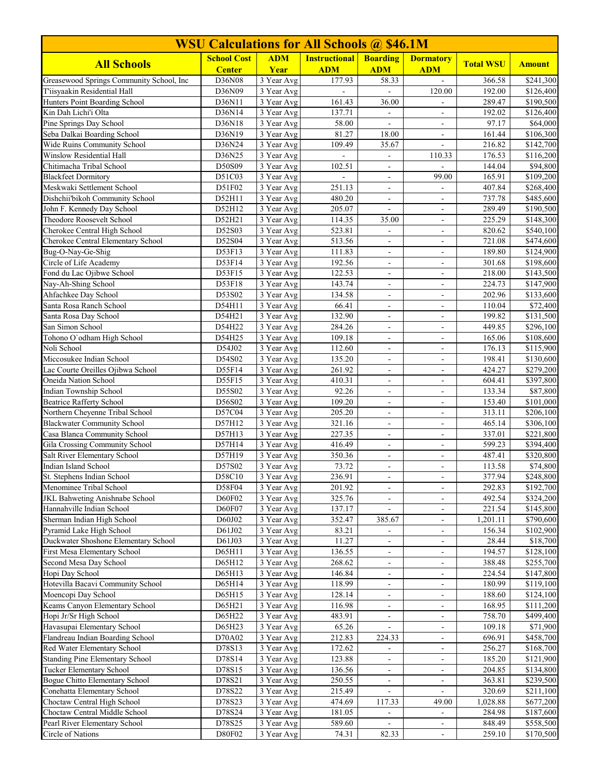| <b>WSU Calculations for All Schools @ \$46.1M</b>              |                    |                                       |                      |                                          |                                                |                  |                        |  |
|----------------------------------------------------------------|--------------------|---------------------------------------|----------------------|------------------------------------------|------------------------------------------------|------------------|------------------------|--|
| <b>All Schools</b>                                             | <b>School Cost</b> | <b>ADM</b>                            | <b>Instructional</b> | <b>Boarding</b>                          | <b>Dormatory</b>                               | <b>Total WSU</b> | <b>Amount</b>          |  |
|                                                                | <b>Center</b>      | Year                                  | <b>ADM</b>           | <b>ADM</b>                               | <b>ADM</b>                                     |                  |                        |  |
| Greasewood Springs Community School, Inc                       | D36N08             | 3 Year Avg                            | 177.93               | 58.33                                    | $\equiv$                                       | 366.58           | \$241,300              |  |
| T'iisyaakin Residential Hall                                   | D36N09             | 3 Year Avg                            |                      |                                          | 120.00                                         | 192.00           | \$126,400              |  |
| Hunters Point Boarding School                                  | D36N11             | 3 Year Avg<br>$\overline{3}$ Year Avg | 161.43               | 36.00                                    | ÷.                                             | 289.47           | \$190,500              |  |
| Kin Dah Lichi'i Olta<br>Pine Springs Day School                | D36N14             | 3 Year Avg                            | 137.71               | $\blacksquare$                           | $\overline{\phantom{a}}$                       | 192.02<br>97.17  | \$126,400              |  |
| Seba Dalkai Boarding School                                    | D36N18<br>D36N19   | 3 Year Avg                            | 58.00<br>81.27       | $\overline{\phantom{a}}$<br>18.00        | $\qquad \qquad \blacksquare$<br>$\blacksquare$ | 161.44           | \$64,000<br>\$106,300  |  |
| Wide Ruins Community School                                    | D36N24             | 3 Year Avg                            | 109.49               | 35.67                                    |                                                | 216.82           | \$142,700              |  |
| Winslow Residential Hall                                       | D36N25             | 3 Year Avg                            |                      |                                          | 110.33                                         | 176.53           | \$116,200              |  |
| Chitimacha Tribal School                                       | D50S09             | 3 Year Avg                            | 102.51               | $\blacksquare$                           | L.                                             | 144.04           | \$94,800               |  |
| <b>Blackfeet Dormitory</b>                                     | D51C03             | 3 Year Avg                            | ÷,                   | $\overline{\phantom{a}}$                 | 99.00                                          | 165.91           | \$109,200              |  |
| Meskwaki Settlement School                                     | D51F02             | $\overline{3}$ Year Avg               | 251.13               | $\sim$                                   |                                                | 407.84           | \$268,400              |  |
| Dishchii'bikoh Community School                                | D52H11             | 3 Year Avg                            | 480.20               | $\blacksquare$                           | $\blacksquare$                                 | 737.78           | \$485,600              |  |
| John F. Kennedy Day School                                     | D52H12             | 3 Year Avg                            | 205.07               | $\blacksquare$                           |                                                | 289.49           | \$190,500              |  |
| Theodore Roosevelt School                                      | D52H21             | 3 Year Avg                            | 114.35               | 35.00                                    | $\blacksquare$                                 | 225.29           | \$148,300              |  |
| Cherokee Central High School                                   | D52S03             | 3 Year Avg                            | 523.81               | $\Box$                                   | $\blacksquare$                                 | 820.62           | \$540,100              |  |
| Cherokee Central Elementary School                             | D52S04             | 3 Year Avg                            | 513.56               | $\overline{\phantom{a}}$                 | $\qquad \qquad \blacksquare$                   | 721.08           | \$474,600              |  |
| Bug-O-Nay-Ge-Shig                                              | D53F13             | 3 Year Avg                            | 111.83               | $\overline{\phantom{a}}$                 | $\blacksquare$                                 | 189.80           | \$124,900              |  |
| Circle of Life Academy                                         | D53F14             | 3 Year Avg                            | 192.56               | $\blacksquare$                           | $\blacksquare$                                 | 301.68           | \$198,600              |  |
| Fond du Lac Ojibwe School                                      | D53F15             | 3 Year Avg                            | 122.53               | $\overline{\phantom{a}}$                 |                                                | 218.00           | \$143,500              |  |
| Nay-Ah-Shing School                                            | D53F18             | 3 Year Avg                            | 143.74               | $\blacksquare$                           | $\overline{\phantom{a}}$                       | 224.73           | \$147,900              |  |
| Ahfachkee Day School                                           | D53S02             | 3 Year Avg                            | 134.58               | $\blacksquare$                           | $\blacksquare$                                 | 202.96           | \$133,600              |  |
| Santa Rosa Ranch School                                        | D54H11             | $\overline{3}$ Year Avg               | 66.41                | $\overline{\phantom{a}}$                 | $\blacksquare$                                 | 110.04           | \$72,400               |  |
| Santa Rosa Day School                                          | D54H21             | 3 Year Avg                            | 132.90               | $\blacksquare$                           | $\overline{\phantom{a}}$                       | 199.82           | \$131,500              |  |
| San Simon School                                               | D54H22             | 3 Year Avg                            | 284.26               | $\blacksquare$                           | ÷.                                             | 449.85           | \$296,100              |  |
| Tohono O'odham High School                                     | D54H25             | 3 Year Avg                            | 109.18               | L.                                       | ÷,                                             | 165.06           | \$108,600              |  |
| Noli School                                                    | D54J02             | 3 Year Avg                            | 112.60               | $\blacksquare$                           | $\blacksquare$                                 | 176.13           | \$115,900              |  |
| Miccosukee Indian School                                       | D54S02             | 3 Year Avg                            | 135.20               | $\overline{\phantom{a}}$                 | $\overline{\phantom{a}}$                       | 198.41           | \$130,600              |  |
| Lac Courte Oreilles Ojibwa School                              | D55F14             | 3 Year Avg                            | 261.92               | $\mathbf{r}$                             | L.                                             | 424.27           | \$279,200              |  |
| Oneida Nation School                                           | D55F15             | 3 Year Avg                            | $\overline{410.31}$  | $\overline{\phantom{a}}$                 | $\overline{\phantom{a}}$                       | 604.41           | \$397,800              |  |
| Indian Township School                                         | D55S02             | 3 Year Avg                            | 92.26                | $\overline{\phantom{a}}$                 |                                                | 133.34           | \$87,800               |  |
| Beatrice Rafferty School                                       | D56S02             | 3 Year Avg                            | 109.20               | $\blacksquare$                           | $\blacksquare$                                 | 153.40           | \$101,000              |  |
| Northern Cheyenne Tribal School                                | D57C04             | 3 Year Avg                            | 205.20               | $\blacksquare$                           | $\overline{\phantom{a}}$                       | 313.11           | \$206,100              |  |
| <b>Blackwater Community School</b>                             | D57H12             | 3 Year Avg                            | 321.16               | $\overline{\phantom{a}}$                 | ۰                                              | 465.14           | \$306,100              |  |
| Casa Blanca Community School<br>Gila Crossing Community School | D57H13<br>D57H14   | 3 Year Avg<br>3 Year Avg              | 227.35<br>416.49     | $\blacksquare$                           | $\overline{\phantom{a}}$                       | 337.01<br>599.23 | \$221,800<br>\$394,400 |  |
| Salt River Elementary School                                   | D57H19             | 3 Year Avg                            | 350.36               | $\overline{\phantom{a}}$<br>$\mathbf{r}$ | $\overline{\phantom{a}}$<br>÷.                 | 487.41           | \$320,800              |  |
| Indian Island School                                           | D57S02             | 3 Year Avg                            | 73.72                | $\blacksquare$                           | $\blacksquare$                                 | 113.58           | \$74,800               |  |
| St. Stephens Indian School                                     | D58C10             | 3 Year Avg                            | 236.91               | $\blacksquare$                           | $\blacksquare$                                 | 377.94           | \$248,800              |  |
| Menominee Tribal School                                        | D58F04             | 3 Year Avg                            | 201.92               | $\blacksquare$                           | ÷,                                             | 292.83           | \$192,700              |  |
| <b>JKL Bahweting Anishnabe School</b>                          | D60F02             | 3 Year Avg                            | 325.76               | $\overline{\phantom{a}}$                 | $\overline{\phantom{a}}$                       | 492.54           | \$324,200              |  |
| Hannahville Indian School                                      | D60F07             | 3 Year Avg                            | 137.17               |                                          | $\blacksquare$                                 | 221.54           | \$145,800              |  |
| Sherman Indian High School                                     | D60J02             | 3 Year Avg                            | 352.47               | 385.67                                   | $\blacksquare$                                 | 1,201.11         | \$790,600              |  |
| Pyramid Lake High School                                       | D61J02             | 3 Year Avg                            | 83.21                | $\blacksquare$                           | $\blacksquare$                                 | 156.34           | \$102,900              |  |
| Duckwater Shoshone Elementary School                           | D61J03             | 3 Year Avg                            | 11.27                | $\overline{\phantom{a}}$                 | ۰                                              | 28.44            | \$18,700               |  |
| First Mesa Elementary School                                   | D65H11             | 3 Year Avg                            | 136.55               | $\overline{\phantom{a}}$                 | ۰                                              | 194.57           | \$128,100              |  |
| Second Mesa Day School                                         | D65H12             | 3 Year Avg                            | 268.62               | $\blacksquare$                           | $\overline{\phantom{a}}$                       | 388.48           | \$255,700              |  |
| Hopi Day School                                                | D65H13             | 3 Year Avg                            | 146.84               |                                          |                                                | 224.54           | \$147,800              |  |
| Hotevilla Bacavi Community School                              | D65H14             | 3 Year Avg                            | 118.99               | $\blacksquare$                           | $\overline{\phantom{a}}$                       | 180.99           | \$119,100              |  |
| Moencopi Day School                                            | D65H15             | 3 Year Avg                            | 128.14               | $\blacksquare$                           | $\blacksquare$                                 | 188.60           | \$124,100              |  |
| Keams Canyon Elementary School                                 | D65H21             | 3 Year Avg                            | 116.98               | $\overline{\phantom{a}}$                 | ۰                                              | 168.95           | \$111,200              |  |
| Hopi Jr/Sr High School                                         | D65H22             | 3 Year Avg                            | 483.91               | $\blacksquare$                           | $\overline{\phantom{a}}$                       | 758.70           | \$499,400              |  |
| Havasupai Elementary School                                    | D65H23             | 3 Year Avg                            | 65.26                |                                          | ۰                                              | 109.18           | \$71,900               |  |
| Flandreau Indian Boarding School                               | D70A02             | 3 Year Avg                            | 212.83               | 224.33                                   | ÷,                                             | 696.91           | \$458,700              |  |
| Red Water Elementary School                                    | D78S13             | 3 Year Avg                            | 172.62               | $\blacksquare$                           | $\blacksquare$                                 | 256.27           | \$168,700              |  |
| <b>Standing Pine Elementary School</b>                         | D78S14             | 3 Year Avg                            | 123.88               | $\overline{\phantom{a}}$                 | $\blacksquare$                                 | 185.20           | \$121,900              |  |
| Tucker Elementary School                                       | D78S15             | 3 Year Avg                            | 136.56               | $\overline{\phantom{a}}$                 | ÷.                                             | 204.85           | \$134,800              |  |
| Bogue Chitto Elementary School                                 | D78S21             | 3 Year Avg                            | 250.55               | $\overline{\phantom{a}}$                 | ۰                                              | 363.81           | \$239,500              |  |
| Conehatta Elementary School                                    | D78S22             | 3 Year Avg                            | 215.49               |                                          |                                                | 320.69           | \$211,100              |  |
| Choctaw Central High School                                    | D78S23             | 3 Year Avg                            | 474.69               | 117.33                                   | 49.00                                          | 1,028.88         | \$677,200              |  |
| Choctaw Central Middle School                                  | D78S24             | 3 Year Avg                            | 181.05               | $\blacksquare$                           | ٠                                              | 284.98           | \$187,600              |  |
| Pearl River Elementary School                                  | D78S25             | 3 Year Avg                            | 589.60               |                                          | $\frac{1}{2}$                                  | 848.49           | \$558,500              |  |
| Circle of Nations                                              | D80F02             | 3 Year Avg                            | 74.31                | 82.33                                    | $\overline{\phantom{m}}$                       | 259.10           | \$170,500              |  |